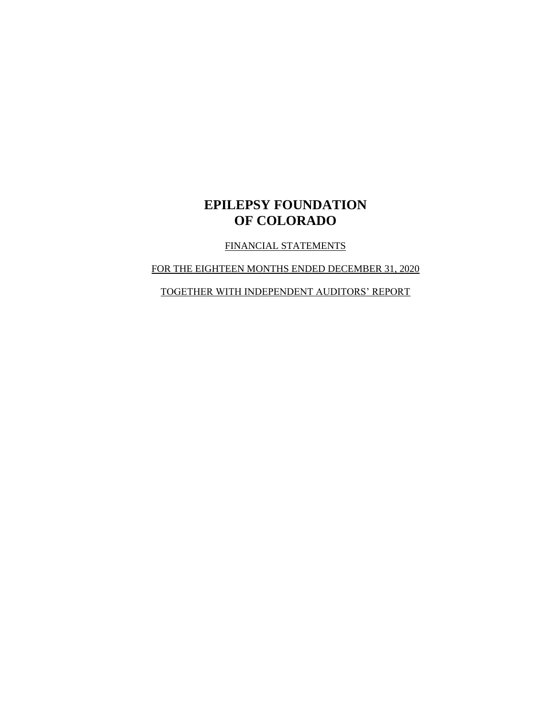FINANCIAL STATEMENTS

# FOR THE EIGHTEEN MONTHS ENDED DECEMBER 31, 2020

TOGETHER WITH INDEPENDENT AUDITORS' REPORT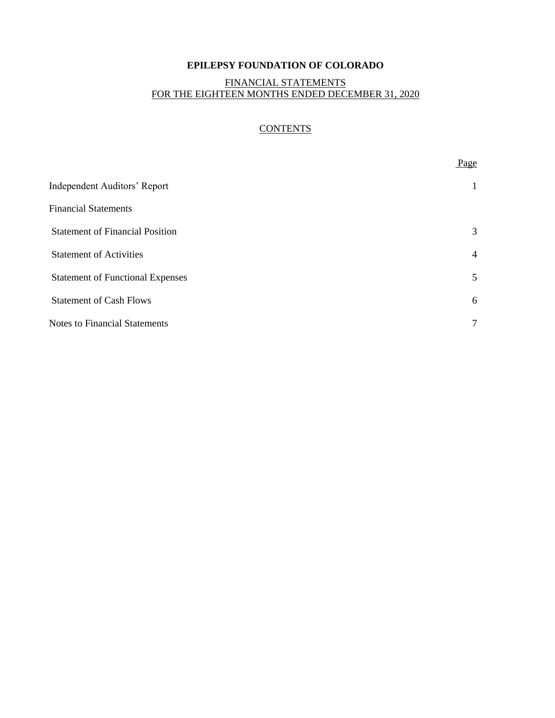# FINANCIAL STATEMENTS FOR THE EIGHTEEN MONTHS ENDED DECEMBER 31, 2020

# **CONTENTS**

|                                         | Page           |
|-----------------------------------------|----------------|
| Independent Auditors' Report            | 1              |
| <b>Financial Statements</b>             |                |
| <b>Statement of Financial Position</b>  | 3              |
| <b>Statement of Activities</b>          | $\overline{4}$ |
| <b>Statement of Functional Expenses</b> | 5              |
| <b>Statement of Cash Flows</b>          | 6              |
| <b>Notes to Financial Statements</b>    | 7              |
|                                         |                |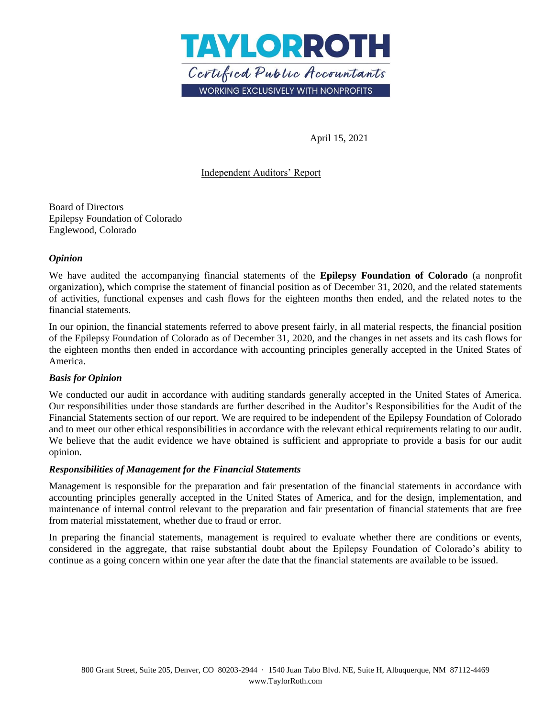

April 15, 2021

### Independent Auditors' Report

Board of Directors Epilepsy Foundation of Colorado Englewood, Colorado

#### *Opinion*

We have audited the accompanying financial statements of the **Epilepsy Foundation of Colorado** (a nonprofit organization), which comprise the statement of financial position as of December 31, 2020, and the related statements of activities, functional expenses and cash flows for the eighteen months then ended, and the related notes to the financial statements.

In our opinion, the financial statements referred to above present fairly, in all material respects, the financial position of the Epilepsy Foundation of Colorado as of December 31, 2020, and the changes in net assets and its cash flows for the eighteen months then ended in accordance with accounting principles generally accepted in the United States of America.

#### *Basis for Opinion*

We conducted our audit in accordance with auditing standards generally accepted in the United States of America. Our responsibilities under those standards are further described in the Auditor's Responsibilities for the Audit of the Financial Statements section of our report. We are required to be independent of the Epilepsy Foundation of Colorado and to meet our other ethical responsibilities in accordance with the relevant ethical requirements relating to our audit. We believe that the audit evidence we have obtained is sufficient and appropriate to provide a basis for our audit opinion.

#### *Responsibilities of Management for the Financial Statements*

Management is responsible for the preparation and fair presentation of the financial statements in accordance with accounting principles generally accepted in the United States of America, and for the design, implementation, and maintenance of internal control relevant to the preparation and fair presentation of financial statements that are free from material misstatement, whether due to fraud or error.

In preparing the financial statements, management is required to evaluate whether there are conditions or events, considered in the aggregate, that raise substantial doubt about the Epilepsy Foundation of Colorado's ability to continue as a going concern within one year after the date that the financial statements are available to be issued.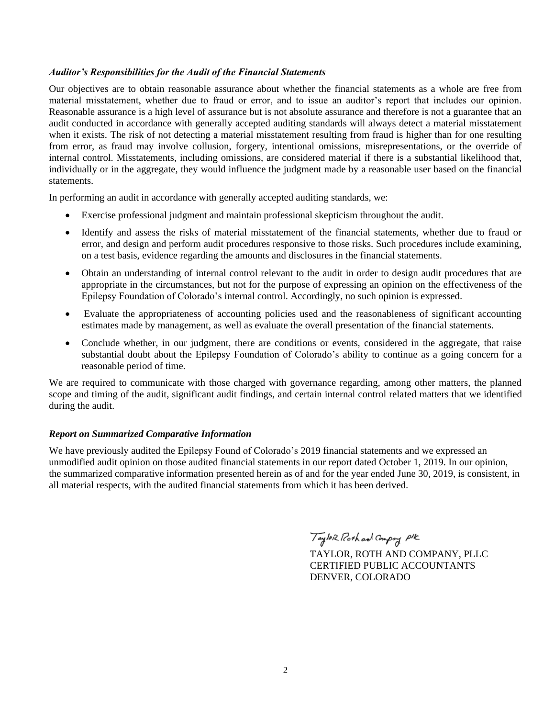#### *Auditor's Responsibilities for the Audit of the Financial Statements*

Our objectives are to obtain reasonable assurance about whether the financial statements as a whole are free from material misstatement, whether due to fraud or error, and to issue an auditor's report that includes our opinion. Reasonable assurance is a high level of assurance but is not absolute assurance and therefore is not a guarantee that an audit conducted in accordance with generally accepted auditing standards will always detect a material misstatement when it exists. The risk of not detecting a material misstatement resulting from fraud is higher than for one resulting from error, as fraud may involve collusion, forgery, intentional omissions, misrepresentations, or the override of internal control. Misstatements, including omissions, are considered material if there is a substantial likelihood that, individually or in the aggregate, they would influence the judgment made by a reasonable user based on the financial statements.

In performing an audit in accordance with generally accepted auditing standards, we:

- Exercise professional judgment and maintain professional skepticism throughout the audit.
- Identify and assess the risks of material misstatement of the financial statements, whether due to fraud or error, and design and perform audit procedures responsive to those risks. Such procedures include examining, on a test basis, evidence regarding the amounts and disclosures in the financial statements.
- Obtain an understanding of internal control relevant to the audit in order to design audit procedures that are appropriate in the circumstances, but not for the purpose of expressing an opinion on the effectiveness of the Epilepsy Foundation of Colorado's internal control. Accordingly, no such opinion is expressed.
- Evaluate the appropriateness of accounting policies used and the reasonableness of significant accounting estimates made by management, as well as evaluate the overall presentation of the financial statements.
- Conclude whether, in our judgment, there are conditions or events, considered in the aggregate, that raise substantial doubt about the Epilepsy Foundation of Colorado's ability to continue as a going concern for a reasonable period of time.

We are required to communicate with those charged with governance regarding, among other matters, the planned scope and timing of the audit, significant audit findings, and certain internal control related matters that we identified during the audit.

#### *Report on Summarized Comparative Information*

We have previously audited the Epilepsy Found of Colorado's 2019 financial statements and we expressed an unmodified audit opinion on those audited financial statements in our report dated October 1, 2019. In our opinion, the summarized comparative information presented herein as of and for the year ended June 30, 2019, is consistent, in all material respects, with the audited financial statements from which it has been derived.

Taylor Roth and Compay PIK

TAYLOR, ROTH AND COMPANY, PLLC CERTIFIED PUBLIC ACCOUNTANTS DENVER, COLORADO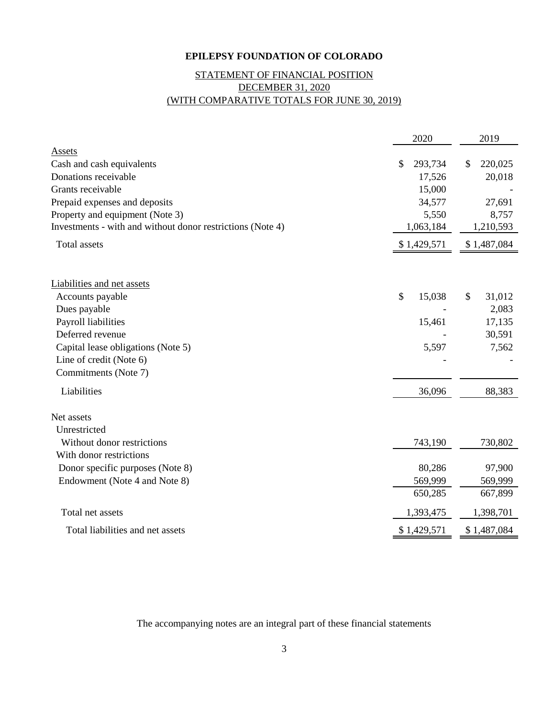# STATEMENT OF FINANCIAL POSITION DECEMBER 31, 2020 (WITH COMPARATIVE TOTALS FOR JUNE 30, 2019)

|                                                            | 2020          | 2019          |
|------------------------------------------------------------|---------------|---------------|
| Assets                                                     |               |               |
| Cash and cash equivalents                                  | \$<br>293,734 | 220,025<br>\$ |
| Donations receivable                                       | 17,526        | 20,018        |
| Grants receivable                                          | 15,000        |               |
| Prepaid expenses and deposits                              | 34,577        | 27,691        |
| Property and equipment (Note 3)                            | 5,550         | 8,757         |
| Investments - with and without donor restrictions (Note 4) | 1,063,184     | 1,210,593     |
| Total assets                                               | \$1,429,571   | \$1,487,084   |
| Liabilities and net assets                                 |               |               |
| Accounts payable                                           | \$<br>15,038  | \$<br>31,012  |
| Dues payable                                               |               | 2,083         |
| Payroll liabilities                                        | 15,461        | 17,135        |
| Deferred revenue                                           |               | 30,591        |
| Capital lease obligations (Note 5)                         | 5,597         | 7,562         |
| Line of credit (Note 6)                                    |               |               |
| Commitments (Note 7)                                       |               |               |
| Liabilities                                                | 36,096        | 88,383        |
| Net assets                                                 |               |               |
| Unrestricted                                               |               |               |
| Without donor restrictions                                 | 743,190       | 730,802       |
| With donor restrictions                                    |               |               |
| Donor specific purposes (Note 8)                           | 80,286        | 97,900        |
| Endowment (Note 4 and Note 8)                              | 569,999       | 569,999       |
|                                                            | 650,285       | 667,899       |
| Total net assets                                           | 1,393,475     | 1,398,701     |
| Total liabilities and net assets                           | \$1,429,571   | \$1,487,084   |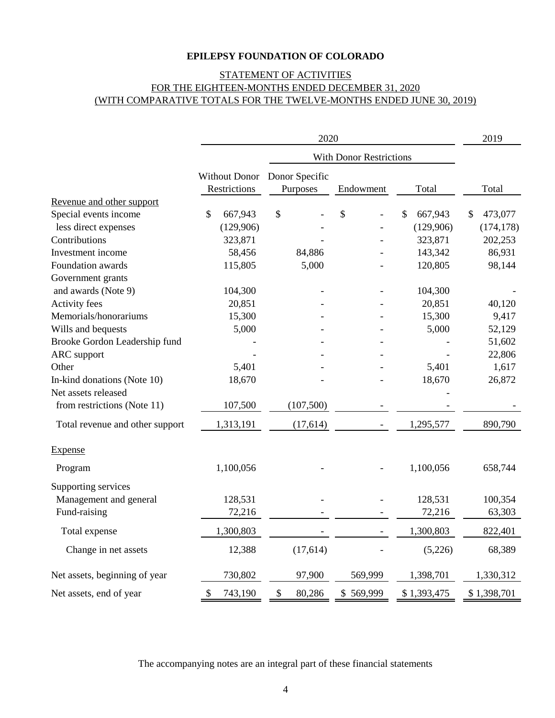# STATEMENT OF ACTIVITIES FOR THE EIGHTEEN-MONTHS ENDED DECEMBER 31, 2020 (WITH COMPARATIVE TOTALS FOR THE TWELVE-MONTHS ENDED JUNE 30, 2019)

|                                 | 2020 |                                      |                                |                            |           | 2019      |               |               |             |
|---------------------------------|------|--------------------------------------|--------------------------------|----------------------------|-----------|-----------|---------------|---------------|-------------|
|                                 |      |                                      | <b>With Donor Restrictions</b> |                            |           |           |               |               |             |
|                                 |      | <b>Without Donor</b><br>Restrictions |                                | Donor Specific<br>Purposes |           | Endowment | Total         |               | Total       |
| Revenue and other support       |      |                                      |                                |                            |           |           |               |               |             |
| Special events income           | \$   | 667,943                              | \$                             |                            | \$        |           | \$<br>667,943 | $\mathcal{S}$ | 473,077     |
| less direct expenses            |      | (129,906)                            |                                |                            |           |           | (129,906)     |               | (174, 178)  |
| Contributions                   |      | 323,871                              |                                |                            |           |           | 323,871       |               | 202,253     |
| Investment income               |      | 58,456                               |                                | 84,886                     |           |           | 143,342       |               | 86,931      |
| Foundation awards               |      | 115,805                              |                                | 5,000                      |           |           | 120,805       |               | 98,144      |
| Government grants               |      |                                      |                                |                            |           |           |               |               |             |
| and awards (Note 9)             |      | 104,300                              |                                |                            |           |           | 104,300       |               |             |
| Activity fees                   |      | 20,851                               |                                |                            |           |           | 20,851        |               | 40,120      |
| Memorials/honorariums           |      | 15,300                               |                                |                            |           |           | 15,300        |               | 9,417       |
| Wills and bequests              |      | 5,000                                |                                |                            |           |           | 5,000         |               | 52,129      |
| Brooke Gordon Leadership fund   |      |                                      |                                |                            |           |           |               |               | 51,602      |
| <b>ARC</b> support              |      |                                      |                                |                            |           |           |               |               | 22,806      |
| Other                           |      | 5,401                                |                                |                            |           |           | 5,401         |               | 1,617       |
| In-kind donations (Note 10)     |      | 18,670                               |                                |                            |           |           | 18,670        |               | 26,872      |
| Net assets released             |      |                                      |                                |                            |           |           |               |               |             |
| from restrictions (Note 11)     |      | 107,500                              |                                | (107,500)                  |           |           |               |               |             |
| Total revenue and other support |      | 1,313,191                            |                                | (17, 614)                  |           |           | 1,295,577     |               | 890,790     |
| <b>Expense</b>                  |      |                                      |                                |                            |           |           |               |               |             |
| Program                         |      | 1,100,056                            |                                |                            |           |           | 1,100,056     |               | 658,744     |
| Supporting services             |      |                                      |                                |                            |           |           |               |               |             |
| Management and general          |      | 128,531                              |                                |                            |           |           | 128,531       |               | 100,354     |
| Fund-raising                    |      | 72,216                               |                                |                            |           |           | 72,216        |               | 63,303      |
| Total expense                   |      | 1,300,803                            |                                |                            |           |           | 1,300,803     |               | 822,401     |
| Change in net assets            |      | 12,388                               |                                | (17,614)                   |           |           | (5,226)       |               | 68,389      |
| Net assets, beginning of year   |      | 730,802                              |                                | 97,900                     |           | 569,999   | 1,398,701     |               | 1,330,312   |
| Net assets, end of year         | \$   | 743,190                              | $\mathcal{S}$                  | 80,286                     | \$569,999 |           | \$1,393,475   |               | \$1,398,701 |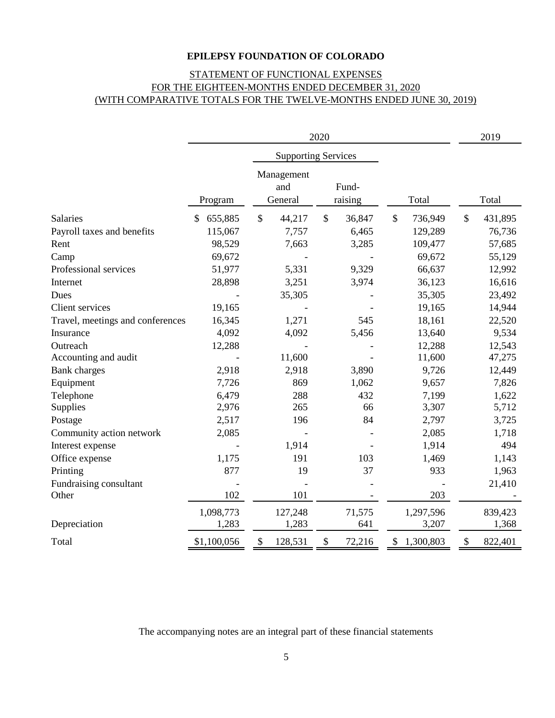# STATEMENT OF FUNCTIONAL EXPENSES FOR THE EIGHTEEN-MONTHS ENDED DECEMBER 31, 2020 (WITH COMPARATIVE TOTALS FOR THE TWELVE-MONTHS ENDED JUNE 30, 2019)

|                                  |                            | 2019                         |                         |                 |               |
|----------------------------------|----------------------------|------------------------------|-------------------------|-----------------|---------------|
|                                  | <b>Supporting Services</b> |                              |                         |                 |               |
|                                  | Program                    | Management<br>and<br>General | Fund-<br>raising        | Total           | Total         |
| <b>Salaries</b>                  | 655,885<br>\$              | \$<br>44,217                 | $\mathcal{S}$<br>36,847 | \$<br>736,949   | \$<br>431,895 |
| Payroll taxes and benefits       | 115,067                    | 7,757                        | 6,465                   | 129,289         | 76,736        |
| Rent                             | 98,529                     | 7,663                        | 3,285                   | 109,477         | 57,685        |
| Camp                             | 69,672                     |                              |                         | 69,672          | 55,129        |
| Professional services            | 51,977                     | 5,331                        | 9,329                   | 66,637          | 12,992        |
| Internet                         | 28,898                     | 3,251                        | 3,974                   | 36,123          | 16,616        |
| Dues                             |                            | 35,305                       |                         | 35,305          | 23,492        |
| Client services                  | 19,165                     |                              |                         | 19,165          | 14,944        |
| Travel, meetings and conferences | 16,345                     | 1,271                        | 545                     | 18,161          | 22,520        |
| Insurance                        | 4,092                      | 4,092                        | 5,456                   | 13,640          | 9,534         |
| Outreach                         | 12,288                     |                              |                         | 12,288          | 12,543        |
| Accounting and audit             |                            | 11,600                       |                         | 11,600          | 47,275        |
| <b>Bank</b> charges              | 2,918                      | 2,918                        | 3,890                   | 9,726           | 12,449        |
| Equipment                        | 7,726                      | 869                          | 1,062                   | 9,657           | 7,826         |
| Telephone                        | 6,479                      | 288                          | 432                     | 7,199           | 1,622         |
| Supplies                         | 2,976                      | 265                          | 66                      | 3,307           | 5,712         |
| Postage                          | 2,517                      | 196                          | 84                      | 2,797           | 3,725         |
| Community action network         | 2,085                      |                              |                         | 2,085           | 1,718         |
| Interest expense                 |                            | 1,914                        |                         | 1,914           | 494           |
| Office expense                   | 1,175                      | 191                          | 103                     | 1,469           | 1,143         |
| Printing                         | 877                        | 19                           | 37                      | 933             | 1,963         |
| Fundraising consultant           |                            |                              |                         |                 | 21,410        |
| Other                            | 102                        | 101                          |                         | 203             |               |
|                                  | 1,098,773                  | 127,248                      | 71,575                  | 1,297,596       | 839,423       |
| Depreciation                     | 1,283                      | 1,283                        | 641                     | 3,207           | 1,368         |
| Total                            | \$1,100,056                | 128,531<br>\$                | 72,216<br>\$            | 1,300,803<br>\$ | 822,401<br>\$ |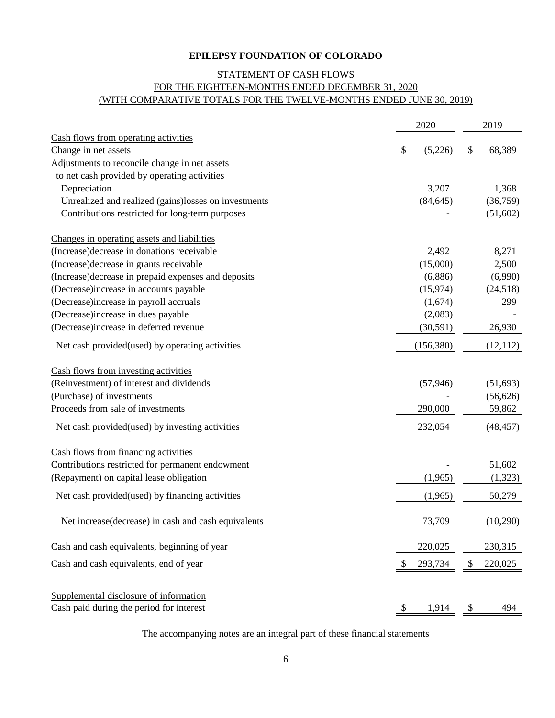# (WITH COMPARATIVE TOTALS FOR THE TWELVE-MONTHS ENDED JUNE 30, 2019) STATEMENT OF CASH FLOWS FOR THE EIGHTEEN-MONTHS ENDED DECEMBER 31, 2020

|                                                      | 2020          | 2019          |  |
|------------------------------------------------------|---------------|---------------|--|
| Cash flows from operating activities                 |               |               |  |
| Change in net assets                                 | \$<br>(5,226) | \$<br>68,389  |  |
| Adjustments to reconcile change in net assets        |               |               |  |
| to net cash provided by operating activities         |               |               |  |
| Depreciation                                         | 3,207         | 1,368         |  |
| Unrealized and realized (gains)losses on investments | (84, 645)     | (36,759)      |  |
| Contributions restricted for long-term purposes      |               | (51,602)      |  |
| Changes in operating assets and liabilities          |               |               |  |
| (Increase) decrease in donations receivable          | 2,492         | 8,271         |  |
| (Increase) decrease in grants receivable             | (15,000)      | 2,500         |  |
| (Increase) decrease in prepaid expenses and deposits | (6,886)       | (6,990)       |  |
| (Decrease) increase in accounts payable              | (15, 974)     | (24, 518)     |  |
| (Decrease) increase in payroll accruals              | (1,674)       | 299           |  |
| (Decrease)increase in dues payable                   | (2,083)       |               |  |
| (Decrease) increase in deferred revenue              | (30, 591)     | 26,930        |  |
| Net cash provided (used) by operating activities     | (156, 380)    | (12, 112)     |  |
| Cash flows from investing activities                 |               |               |  |
| (Reinvestment) of interest and dividends             | (57, 946)     | (51, 693)     |  |
| (Purchase) of investments                            |               | (56, 626)     |  |
| Proceeds from sale of investments                    | 290,000       | 59,862        |  |
| Net cash provided (used) by investing activities     | 232,054       | (48, 457)     |  |
| Cash flows from financing activities                 |               |               |  |
| Contributions restricted for permanent endowment     |               | 51,602        |  |
| (Repayment) on capital lease obligation              | (1,965)       | (1,323)       |  |
| Net cash provided (used) by financing activities     | (1,965)       | 50,279        |  |
| Net increase(decrease) in cash and cash equivalents  | 73,709        | (10, 290)     |  |
| Cash and cash equivalents, beginning of year         | 220,025       | 230,315       |  |
| Cash and cash equivalents, end of year               | 293,734<br>\$ | \$<br>220,025 |  |
| Supplemental disclosure of information               |               |               |  |
| Cash paid during the period for interest             | \$<br>1,914   | 494<br>\$     |  |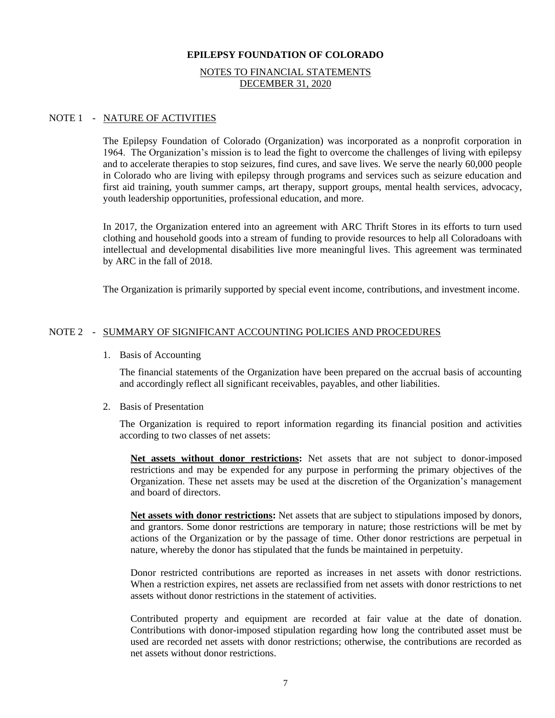#### NOTES TO FINANCIAL STATEMENTS DECEMBER 31, 2020

#### NOTE 1 - NATURE OF ACTIVITIES

The Epilepsy Foundation of Colorado (Organization) was incorporated as a nonprofit corporation in 1964. The Organization's mission is to lead the fight to overcome the challenges of living with epilepsy and to accelerate therapies to stop seizures, find cures, and save lives. We serve the nearly 60,000 people in Colorado who are living with epilepsy through programs and services such as seizure education and first aid training, youth summer camps, art therapy, support groups, mental health services, advocacy, youth leadership opportunities, professional education, and more.

In 2017, the Organization entered into an agreement with ARC Thrift Stores in its efforts to turn used clothing and household goods into a stream of funding to provide resources to help all Coloradoans with intellectual and developmental disabilities live more meaningful lives. This agreement was terminated by ARC in the fall of 2018.

The Organization is primarily supported by special event income, contributions, and investment income.

#### NOTE 2 - SUMMARY OF SIGNIFICANT ACCOUNTING POLICIES AND PROCEDURES

1. Basis of Accounting

The financial statements of the Organization have been prepared on the accrual basis of accounting and accordingly reflect all significant receivables, payables, and other liabilities.

2. Basis of Presentation

The Organization is required to report information regarding its financial position and activities according to two classes of net assets:

**Net assets without donor restrictions:** Net assets that are not subject to donor-imposed restrictions and may be expended for any purpose in performing the primary objectives of the Organization. These net assets may be used at the discretion of the Organization's management and board of directors.

**Net assets with donor restrictions:** Net assets that are subject to stipulations imposed by donors, and grantors. Some donor restrictions are temporary in nature; those restrictions will be met by actions of the Organization or by the passage of time. Other donor restrictions are perpetual in nature, whereby the donor has stipulated that the funds be maintained in perpetuity.

Donor restricted contributions are reported as increases in net assets with donor restrictions. When a restriction expires, net assets are reclassified from net assets with donor restrictions to net assets without donor restrictions in the statement of activities.

Contributed property and equipment are recorded at fair value at the date of donation. Contributions with donor-imposed stipulation regarding how long the contributed asset must be used are recorded net assets with donor restrictions; otherwise, the contributions are recorded as net assets without donor restrictions.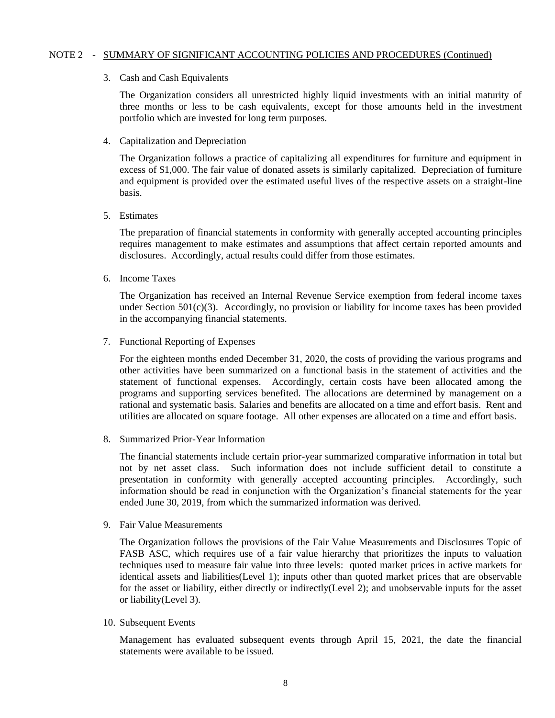#### NOTE 2 - SUMMARY OF SIGNIFICANT ACCOUNTING POLICIES AND PROCEDURES (Continued)

#### 3. Cash and Cash Equivalents

The Organization considers all unrestricted highly liquid investments with an initial maturity of three months or less to be cash equivalents, except for those amounts held in the investment portfolio which are invested for long term purposes.

4. Capitalization and Depreciation

The Organization follows a practice of capitalizing all expenditures for furniture and equipment in excess of \$1,000. The fair value of donated assets is similarly capitalized. Depreciation of furniture and equipment is provided over the estimated useful lives of the respective assets on a straight-line basis.

5. Estimates

The preparation of financial statements in conformity with generally accepted accounting principles requires management to make estimates and assumptions that affect certain reported amounts and disclosures. Accordingly, actual results could differ from those estimates.

6. Income Taxes

The Organization has received an Internal Revenue Service exemption from federal income taxes under Section 501(c)(3). Accordingly, no provision or liability for income taxes has been provided in the accompanying financial statements.

7. Functional Reporting of Expenses

For the eighteen months ended December 31, 2020, the costs of providing the various programs and other activities have been summarized on a functional basis in the statement of activities and the statement of functional expenses. Accordingly, certain costs have been allocated among the programs and supporting services benefited. The allocations are determined by management on a rational and systematic basis. Salaries and benefits are allocated on a time and effort basis. Rent and utilities are allocated on square footage. All other expenses are allocated on a time and effort basis.

8. Summarized Prior-Year Information

The financial statements include certain prior-year summarized comparative information in total but not by net asset class. Such information does not include sufficient detail to constitute a presentation in conformity with generally accepted accounting principles. Accordingly, such information should be read in conjunction with the Organization's financial statements for the year ended June 30, 2019, from which the summarized information was derived.

9. Fair Value Measurements

The Organization follows the provisions of the Fair Value Measurements and Disclosures Topic of FASB ASC, which requires use of a fair value hierarchy that prioritizes the inputs to valuation techniques used to measure fair value into three levels: quoted market prices in active markets for identical assets and liabilities(Level 1); inputs other than quoted market prices that are observable for the asset or liability, either directly or indirectly(Level 2); and unobservable inputs for the asset or liability(Level 3).

10. Subsequent Events

Management has evaluated subsequent events through April 15, 2021, the date the financial statements were available to be issued.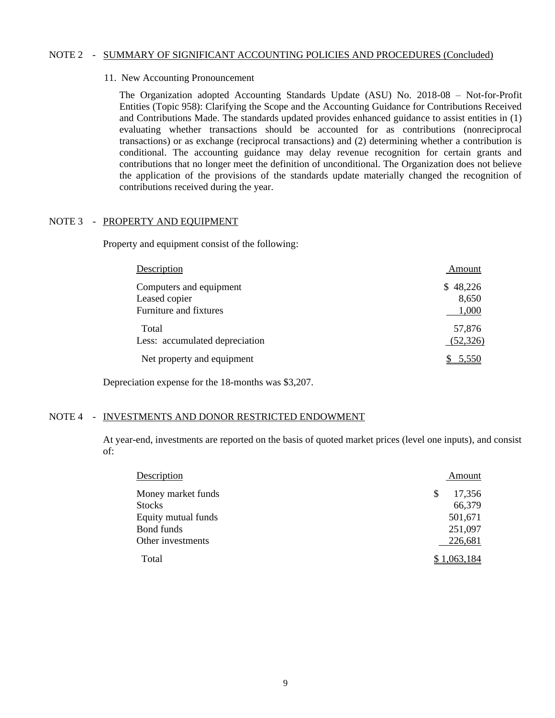#### NOTE 2 - SUMMARY OF SIGNIFICANT ACCOUNTING POLICIES AND PROCEDURES (Concluded)

#### 11. New Accounting Pronouncement

The Organization adopted Accounting Standards Update (ASU) No. 2018-08 – Not-for-Profit Entities (Topic 958): Clarifying the Scope and the Accounting Guidance for Contributions Received and Contributions Made. The standards updated provides enhanced guidance to assist entities in (1) evaluating whether transactions should be accounted for as contributions (nonreciprocal transactions) or as exchange (reciprocal transactions) and (2) determining whether a contribution is conditional. The accounting guidance may delay revenue recognition for certain grants and contributions that no longer meet the definition of unconditional. The Organization does not believe the application of the provisions of the standards update materially changed the recognition of contributions received during the year.

#### NOTE 3 - PROPERTY AND EQUIPMENT

Property and equipment consist of the following:

| Description                    | Amount       |
|--------------------------------|--------------|
| Computers and equipment        | 48,226<br>S. |
| Leased copier                  | 8,650        |
| Furniture and fixtures         | 1,000        |
| Total                          | 57,876       |
| Less: accumulated depreciation | (52, 326)    |
| Net property and equipment     | 5,550        |

Depreciation expense for the 18-months was \$3,207.

#### NOTE 4 - INVESTMENTS AND DONOR RESTRICTED ENDOWMENT

At year-end, investments are reported on the basis of quoted market prices (level one inputs), and consist of:

| Description         | Amount       |
|---------------------|--------------|
| Money market funds  | 17,356<br>\$ |
| <b>Stocks</b>       | 66,379       |
| Equity mutual funds | 501,671      |
| <b>Bond funds</b>   | 251,097      |
| Other investments   | 226,681      |
| Total               | \$1,063,184  |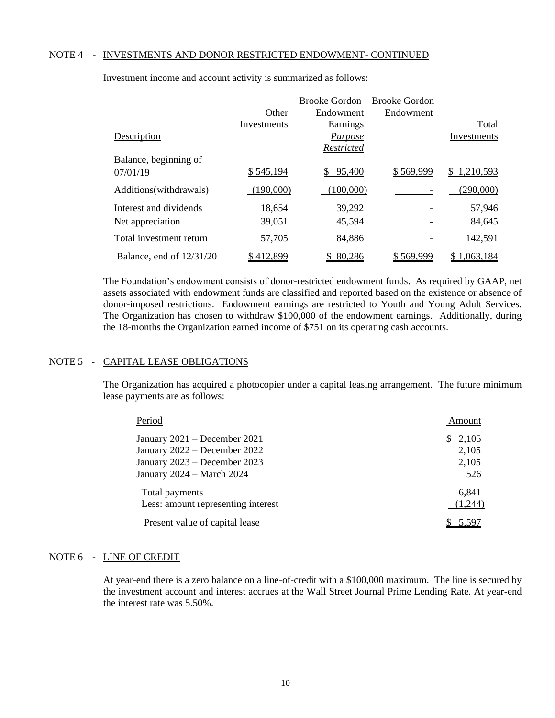#### NOTE 4 - INVESTMENTS AND DONOR RESTRICTED ENDOWMENT- CONTINUED

|                            |             | Brooke Gordon     | Brooke Gordon |             |  |
|----------------------------|-------------|-------------------|---------------|-------------|--|
|                            | Other       | Endowment         | Endowment     |             |  |
|                            | Investments | Earnings          |               | Total       |  |
| Description                |             | Purpose           |               | Investments |  |
|                            |             | <b>Restricted</b> |               |             |  |
| Balance, beginning of      |             |                   |               |             |  |
| 07/01/19                   | \$545,194   | \$95,400          | \$569,999     | \$1,210,593 |  |
| Additions (withdrawals)    | (190,000)   | (100,000)         |               | (290,000)   |  |
| Interest and dividends     | 18,654      | 39,292            |               | 57,946      |  |
| Net appreciation           | 39,051      | 45,594            |               | 84,645      |  |
| Total investment return    | 57,705      | 84,886            |               | 142,591     |  |
| Balance, end of $12/31/20$ | \$412,899   | \$80,286          | \$569,999     | \$1,063,184 |  |
|                            |             |                   |               |             |  |

Investment income and account activity is summarized as follows:

The Foundation's endowment consists of donor-restricted endowment funds. As required by GAAP, net assets associated with endowment funds are classified and reported based on the existence or absence of donor-imposed restrictions. Endowment earnings are restricted to Youth and Young Adult Services. The Organization has chosen to withdraw \$100,000 of the endowment earnings. Additionally, during the 18-months the Organization earned income of \$751 on its operating cash accounts.

#### NOTE 5 - CAPITAL LEASE OBLIGATIONS

The Organization has acquired a photocopier under a capital leasing arrangement. The future minimum lease payments are as follows:

| Period                             | Amount  |
|------------------------------------|---------|
| January 2021 – December 2021       | \$2,105 |
| January 2022 – December 2022       | 2,105   |
| January 2023 – December 2023       | 2,105   |
| January 2024 - March 2024          | 526     |
| Total payments                     | 6,841   |
| Less: amount representing interest | (1,244) |
| Present value of capital lease     | 5,597   |

#### NOTE 6 - LINE OF CREDIT

At year-end there is a zero balance on a line-of-credit with a \$100,000 maximum. The line is secured by the investment account and interest accrues at the Wall Street Journal Prime Lending Rate. At year-end the interest rate was 5.50%.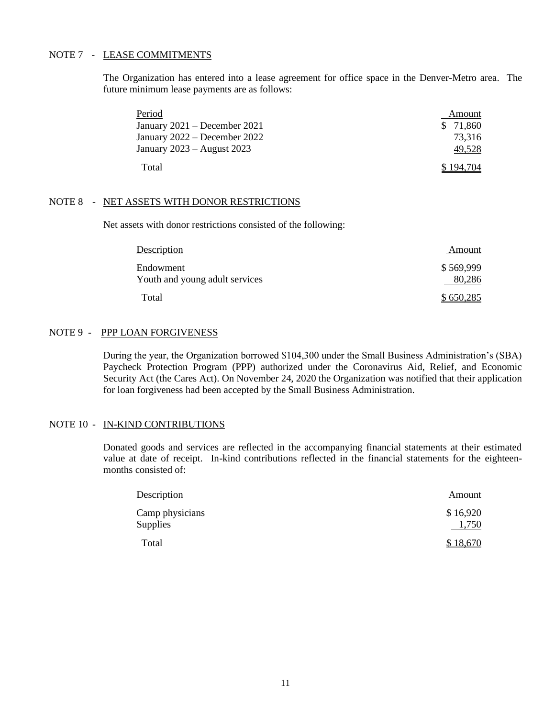### NOTE 7 - LEASE COMMITMENTS

The Organization has entered into a lease agreement for office space in the Denver-Metro area. The future minimum lease payments are as follows:

| Period                         | Amount    |
|--------------------------------|-----------|
| January $2021$ – December 2021 | \$ 71,860 |
| January 2022 – December 2022   | 73,316    |
| January 2023 – August 2023     | 49,528    |
| Total                          | \$194,704 |

#### NOTE 8 - NET ASSETS WITH DONOR RESTRICTIONS

Net assets with donor restrictions consisted of the following:

| Description                    | Amount    |
|--------------------------------|-----------|
| Endowment                      | \$569,999 |
| Youth and young adult services | 80,286    |
| Total                          | \$650,285 |

#### NOTE 9 - PPP LOAN FORGIVENESS

During the year, the Organization borrowed \$104,300 under the Small Business Administration's (SBA) Paycheck Protection Program (PPP) authorized under the Coronavirus Aid, Relief, and Economic Security Act (the Cares Act). On November 24, 2020 the Organization was notified that their application for loan forgiveness had been accepted by the Small Business Administration.

#### NOTE 10 - IN-KIND CONTRIBUTIONS

Donated goods and services are reflected in the accompanying financial statements at their estimated value at date of receipt. In-kind contributions reflected in the financial statements for the eighteenmonths consisted of:

| Description     | Amount   |
|-----------------|----------|
| Camp physicians | \$16,920 |
| <b>Supplies</b> | 1.750    |
| Total           | \$18,670 |